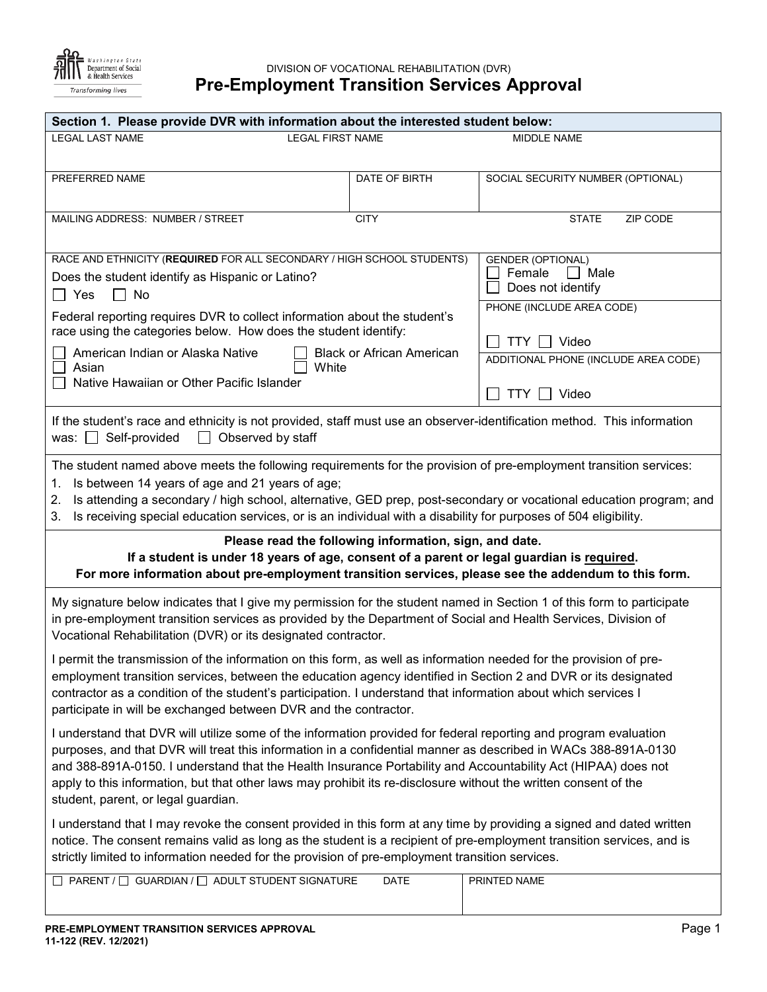

# DIVISION OF VOCATIONAL REHABILITATION (DVR) **Pre-Employment Transition Services Approval**

| Section 1. Please provide DVR with information about the interested student below:                                                                                                                                                                                                                                                                                                                                                                                                                             |                                                                 |                                                            |  |  |  |  |  |  |
|----------------------------------------------------------------------------------------------------------------------------------------------------------------------------------------------------------------------------------------------------------------------------------------------------------------------------------------------------------------------------------------------------------------------------------------------------------------------------------------------------------------|-----------------------------------------------------------------|------------------------------------------------------------|--|--|--|--|--|--|
| <b>LEGAL LAST NAME</b><br><b>LEGAL FIRST NAME</b><br><b>MIDDLE NAME</b>                                                                                                                                                                                                                                                                                                                                                                                                                                        |                                                                 |                                                            |  |  |  |  |  |  |
|                                                                                                                                                                                                                                                                                                                                                                                                                                                                                                                |                                                                 |                                                            |  |  |  |  |  |  |
| PREFERRED NAME                                                                                                                                                                                                                                                                                                                                                                                                                                                                                                 | DATE OF BIRTH                                                   | SOCIAL SECURITY NUMBER (OPTIONAL)                          |  |  |  |  |  |  |
| MAILING ADDRESS: NUMBER / STREET                                                                                                                                                                                                                                                                                                                                                                                                                                                                               | <b>CITY</b>                                                     | <b>STATE</b><br>ZIP CODE                                   |  |  |  |  |  |  |
| RACE AND ETHNICITY (REQUIRED FOR ALL SECONDARY / HIGH SCHOOL STUDENTS)<br>Does the student identify as Hispanic or Latino?<br>$\Box$ Yes<br>$\Box$ No                                                                                                                                                                                                                                                                                                                                                          | <b>GENDER (OPTIONAL)</b><br>Female<br>Male<br>Does not identify |                                                            |  |  |  |  |  |  |
| Federal reporting requires DVR to collect information about the student's<br>race using the categories below. How does the student identify:                                                                                                                                                                                                                                                                                                                                                                   | PHONE (INCLUDE AREA CODE)                                       |                                                            |  |  |  |  |  |  |
| American Indian or Alaska Native                                                                                                                                                                                                                                                                                                                                                                                                                                                                               | <b>Black or African American</b>                                | $TTY$ $\Box$ Video<br>ADDITIONAL PHONE (INCLUDE AREA CODE) |  |  |  |  |  |  |
| Asian<br>White<br>Native Hawaiian or Other Pacific Islander                                                                                                                                                                                                                                                                                                                                                                                                                                                    |                                                                 | Video<br><b>TTY</b>                                        |  |  |  |  |  |  |
| If the student's race and ethnicity is not provided, staff must use an observer-identification method. This information<br>Observed by staff<br>was: $\Box$ Self-provided<br>$\lceil$                                                                                                                                                                                                                                                                                                                          |                                                                 |                                                            |  |  |  |  |  |  |
| The student named above meets the following requirements for the provision of pre-employment transition services:<br>Is between 14 years of age and 21 years of age;<br>1.<br>Is attending a secondary / high school, alternative, GED prep, post-secondary or vocational education program; and<br>2.<br>Is receiving special education services, or is an individual with a disability for purposes of 504 eligibility.<br>3.                                                                                |                                                                 |                                                            |  |  |  |  |  |  |
| Please read the following information, sign, and date.<br>If a student is under 18 years of age, consent of a parent or legal guardian is required.<br>For more information about pre-employment transition services, please see the addendum to this form.                                                                                                                                                                                                                                                    |                                                                 |                                                            |  |  |  |  |  |  |
| My signature below indicates that I give my permission for the student named in Section 1 of this form to participate<br>in pre-employment transition services as provided by the Department of Social and Health Services, Division of<br>Vocational Rehabilitation (DVR) or its designated contractor.                                                                                                                                                                                                       |                                                                 |                                                            |  |  |  |  |  |  |
| I permit the transmission of the information on this form, as well as information needed for the provision of pre-<br>employment transition services, between the education agency identified in Section 2 and DVR or its designated<br>contractor as a condition of the student's participation. I understand that information about which services I<br>participate in will be exchanged between DVR and the contractor.                                                                                     |                                                                 |                                                            |  |  |  |  |  |  |
| I understand that DVR will utilize some of the information provided for federal reporting and program evaluation<br>purposes, and that DVR will treat this information in a confidential manner as described in WACs 388-891A-0130<br>and 388-891A-0150. I understand that the Health Insurance Portability and Accountability Act (HIPAA) does not<br>apply to this information, but that other laws may prohibit its re-disclosure without the written consent of the<br>student, parent, or legal guardian. |                                                                 |                                                            |  |  |  |  |  |  |
| I understand that I may revoke the consent provided in this form at any time by providing a signed and dated written<br>notice. The consent remains valid as long as the student is a recipient of pre-employment transition services, and is<br>strictly limited to information needed for the provision of pre-employment transition services.                                                                                                                                                               |                                                                 |                                                            |  |  |  |  |  |  |
| PARENT / □ GUARDIAN / □ ADULT STUDENT SIGNATURE                                                                                                                                                                                                                                                                                                                                                                                                                                                                | <b>DATE</b>                                                     | PRINTED NAME                                               |  |  |  |  |  |  |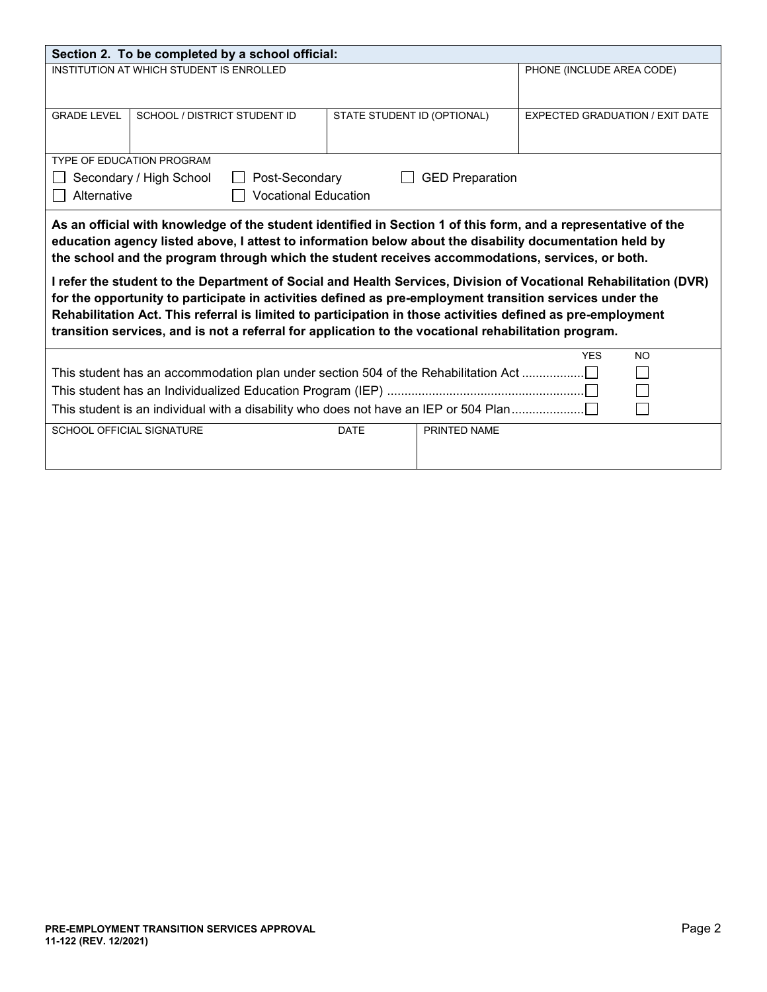| Section 2. To be completed by a school official:                                                                                                                                                                                                                                                                                                                                                                                                                                                                                                                                                                                                                                                                                                                                     |                              |  |                             |              |                                        |           |  |  |
|--------------------------------------------------------------------------------------------------------------------------------------------------------------------------------------------------------------------------------------------------------------------------------------------------------------------------------------------------------------------------------------------------------------------------------------------------------------------------------------------------------------------------------------------------------------------------------------------------------------------------------------------------------------------------------------------------------------------------------------------------------------------------------------|------------------------------|--|-----------------------------|--------------|----------------------------------------|-----------|--|--|
| INSTITUTION AT WHICH STUDENT IS ENROLLED                                                                                                                                                                                                                                                                                                                                                                                                                                                                                                                                                                                                                                                                                                                                             |                              |  |                             |              | PHONE (INCLUDE AREA CODE)              |           |  |  |
| <b>GRADE LEVEL</b>                                                                                                                                                                                                                                                                                                                                                                                                                                                                                                                                                                                                                                                                                                                                                                   | SCHOOL / DISTRICT STUDENT ID |  | STATE STUDENT ID (OPTIONAL) |              | <b>EXPECTED GRADUATION / EXIT DATE</b> |           |  |  |
| <b>TYPE OF EDUCATION PROGRAM</b>                                                                                                                                                                                                                                                                                                                                                                                                                                                                                                                                                                                                                                                                                                                                                     |                              |  |                             |              |                                        |           |  |  |
| Secondary / High School<br>Post-Secondary<br><b>GED Preparation</b>                                                                                                                                                                                                                                                                                                                                                                                                                                                                                                                                                                                                                                                                                                                  |                              |  |                             |              |                                        |           |  |  |
| Alternative<br><b>Vocational Education</b>                                                                                                                                                                                                                                                                                                                                                                                                                                                                                                                                                                                                                                                                                                                                           |                              |  |                             |              |                                        |           |  |  |
| As an official with knowledge of the student identified in Section 1 of this form, and a representative of the<br>education agency listed above, I attest to information below about the disability documentation held by<br>the school and the program through which the student receives accommodations, services, or both.<br>I refer the student to the Department of Social and Health Services, Division of Vocational Rehabilitation (DVR)<br>for the opportunity to participate in activities defined as pre-employment transition services under the<br>Rehabilitation Act. This referral is limited to participation in those activities defined as pre-employment<br>transition services, and is not a referral for application to the vocational rehabilitation program. |                              |  |                             |              |                                        |           |  |  |
|                                                                                                                                                                                                                                                                                                                                                                                                                                                                                                                                                                                                                                                                                                                                                                                      |                              |  |                             |              | <b>YES</b>                             | <b>NO</b> |  |  |
| This student has an accommodation plan under section 504 of the Rehabilitation Act □                                                                                                                                                                                                                                                                                                                                                                                                                                                                                                                                                                                                                                                                                                 |                              |  |                             |              |                                        |           |  |  |
|                                                                                                                                                                                                                                                                                                                                                                                                                                                                                                                                                                                                                                                                                                                                                                                      |                              |  |                             |              |                                        |           |  |  |
| This student is an individual with a disability who does not have an IEP or 504 Plan                                                                                                                                                                                                                                                                                                                                                                                                                                                                                                                                                                                                                                                                                                 |                              |  |                             |              |                                        |           |  |  |
| <b>SCHOOL OFFICIAL SIGNATURE</b>                                                                                                                                                                                                                                                                                                                                                                                                                                                                                                                                                                                                                                                                                                                                                     |                              |  | <b>DATE</b>                 | PRINTED NAME |                                        |           |  |  |